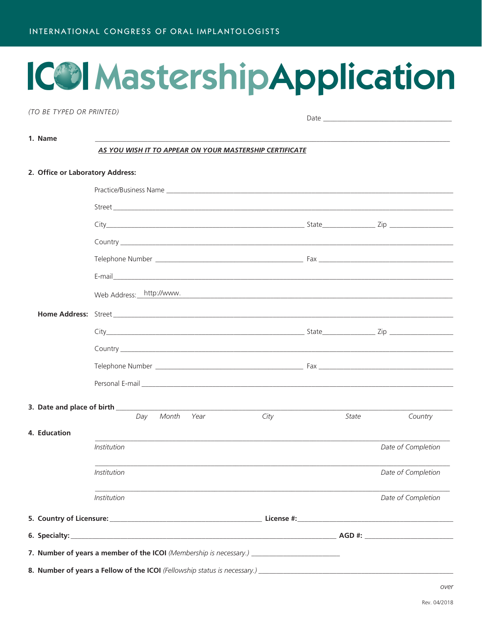# ICO Mastership Application

(TO BE TYPED OR PRINTED)

1. Name

AS YOU WISH IT TO APPEAR ON YOUR MASTERSHIP CERTIFICATE

|  | 2. Office or Laboratory Address: |                                                                                                                                                                                                                                |                                                                                                                  |       |                    |  |  |  |  |  |  |
|--|----------------------------------|--------------------------------------------------------------------------------------------------------------------------------------------------------------------------------------------------------------------------------|------------------------------------------------------------------------------------------------------------------|-------|--------------------|--|--|--|--|--|--|
|  |                                  |                                                                                                                                                                                                                                |                                                                                                                  |       |                    |  |  |  |  |  |  |
|  |                                  |                                                                                                                                                                                                                                |                                                                                                                  |       |                    |  |  |  |  |  |  |
|  |                                  |                                                                                                                                                                                                                                |                                                                                                                  |       |                    |  |  |  |  |  |  |
|  |                                  |                                                                                                                                                                                                                                |                                                                                                                  |       |                    |  |  |  |  |  |  |
|  |                                  |                                                                                                                                                                                                                                |                                                                                                                  |       |                    |  |  |  |  |  |  |
|  |                                  |                                                                                                                                                                                                                                |                                                                                                                  |       |                    |  |  |  |  |  |  |
|  |                                  | Web Address: http://www.                                                                                                                                                                                                       | and the control of the control of the control of the control of the control of the control of the control of the |       |                    |  |  |  |  |  |  |
|  |                                  |                                                                                                                                                                                                                                |                                                                                                                  |       |                    |  |  |  |  |  |  |
|  |                                  |                                                                                                                                                                                                                                |                                                                                                                  |       |                    |  |  |  |  |  |  |
|  |                                  |                                                                                                                                                                                                                                |                                                                                                                  |       |                    |  |  |  |  |  |  |
|  |                                  |                                                                                                                                                                                                                                |                                                                                                                  |       |                    |  |  |  |  |  |  |
|  |                                  | Personal E-mail <b>E-mail E-mail E-mail E-mail and E-mail and E-mail and E-mail and E-mail and E-mail and E-mail and E-mail and E-mail and E-mail and E-mail and E-mail and E-mail and E-mail and E-mail and E-mail and E-</b> |                                                                                                                  |       |                    |  |  |  |  |  |  |
|  |                                  |                                                                                                                                                                                                                                |                                                                                                                  |       |                    |  |  |  |  |  |  |
|  |                                  | Day Month<br>Year                                                                                                                                                                                                              | City                                                                                                             | State | Country            |  |  |  |  |  |  |
|  | 4. Education                     |                                                                                                                                                                                                                                |                                                                                                                  |       |                    |  |  |  |  |  |  |
|  |                                  | <i>Institution</i>                                                                                                                                                                                                             |                                                                                                                  |       | Date of Completion |  |  |  |  |  |  |
|  |                                  | <i>Institution</i>                                                                                                                                                                                                             |                                                                                                                  |       | Date of Completion |  |  |  |  |  |  |
|  |                                  | <i>Institution</i>                                                                                                                                                                                                             |                                                                                                                  |       | Date of Completion |  |  |  |  |  |  |
|  |                                  |                                                                                                                                                                                                                                |                                                                                                                  |       |                    |  |  |  |  |  |  |
|  |                                  |                                                                                                                                                                                                                                |                                                                                                                  |       |                    |  |  |  |  |  |  |
|  |                                  | 7. Number of years a member of the ICOI (Membership is necessary.) _________________________________                                                                                                                           |                                                                                                                  |       |                    |  |  |  |  |  |  |
|  |                                  |                                                                                                                                                                                                                                |                                                                                                                  |       |                    |  |  |  |  |  |  |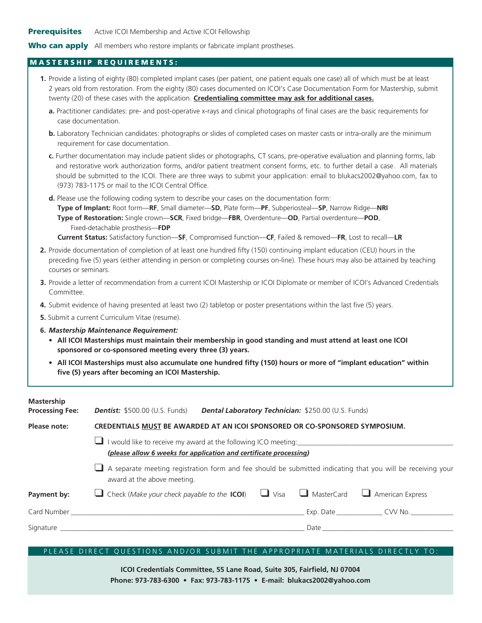### Who can apply All members who restore implants or fabricate implant prostheses.

### MASTERSHIP REQUIREMENTS:

- **1.** Provide a listing of eighty (80) completed implant cases (per patient, one patient equals one case) all of which must be at least 2 years old from restoration. From the eighty (80) cases documented on ICOI's Case Documentation Form for Mastership, submit twenty (20) of these cases with the application. **Credentialing committee may ask for additional cases.**
	- **a.** Practitioner candidates: pre- and post-operative x-rays and clinical photographs of final cases are the basic requirements for case documentation.
	- **b.** Laboratory Technician candidates: photographs or slides of completed cases on master casts or intra-orally are the minimum requirement for case documentation.

**c.** Further documentation may include patient slides or photographs, CT scans, pre-operative evaluation and planning forms, lab and restorative work authorization forms, and/or patient treatment consent forms, etc. to further detail a case. All materials should be submitted to the ICOI. There are three ways to submit your application: email t[o blukacs2002@yahoo.com](mailto:blukacs2002@yahoo.com), fax to (973) 783-1175 or mail to the ICOI Central Office.

**d.** Please use the following coding system to describe your cases on the documentation form: **Type of Implant:** Root form—**RF**, Small diameter—**SD**, Plate form—**PF**, Subperiosteal—**SP**, Narrow Ridge—**NRI Type of Restoration:** Single crown—**SCR**, Fixed bridge—**FBR**, Overdenture—**OD**, Partial overdenture—**POD**, Fixed-detachable prosthesis—**FDP**

 **Current Status:** Satisfactory function—**SF**, Compromised function—**CF**, Failed & removed—**FR**, Lost to recall—**LR**

- **2.** Provide documentation of completion of at least one hundred fifty (150) continuing implant education (CEU) hours in the preceding five (5) years (either attending in person or completing courses on-line). These hours may also be attained by teaching courses or seminars.
- **3.** Provide a letter of recommendation from a current ICOI Mastership or ICOI Diplomate or member of ICOI's Advanced Credentials Committee.
- **4.** Submit evidence of having presented at least two (2) tabletop or poster presentations within the last five (5) years.
- **5.** Submit a current Curriculum Vitae (resume).
- **6.** *Mastership Maintenance Requirement:*
	- **• All ICOI Masterships must maintain their membership in good standing and must attend at least one ICOI sponsored or co-sponsored meeting every three (3) years.**
	- **• All ICOI Masterships must also accumulate one hundred fifty (150) hours or more of "implant education" within five (5) years after becoming an ICOI Mastership.**

| <b>Mastership</b><br><b>Processing Fee:</b> | <b>Dentist:</b> \$500.00 (U.S. Funds)                                                                                                                                                                                         |  | <b>Dental Laboratory Technician: \$250.00 (U.S. Funds)</b> |                                                                                                                                                                                                                                |  |  |  |  |  |
|---------------------------------------------|-------------------------------------------------------------------------------------------------------------------------------------------------------------------------------------------------------------------------------|--|------------------------------------------------------------|--------------------------------------------------------------------------------------------------------------------------------------------------------------------------------------------------------------------------------|--|--|--|--|--|
| Please note:                                | CREDENTIALS MUST BE AWARDED AT AN ICOI SPONSORED OR CO-SPONSORED SYMPOSIUM.                                                                                                                                                   |  |                                                            |                                                                                                                                                                                                                                |  |  |  |  |  |
|                                             | I would like to receive my award at the following ICO meeting:<br>(please allow 6 weeks for application and certificate processing)                                                                                           |  |                                                            |                                                                                                                                                                                                                                |  |  |  |  |  |
|                                             | A separate meeting registration form and fee should be submitted indicating that you will be receiving your<br>award at the above meeting.                                                                                    |  |                                                            |                                                                                                                                                                                                                                |  |  |  |  |  |
| Payment by:                                 | Check (Make your check payable to the <b>ICOI</b> ) $\Box$ Visa $\Box$ MasterCard $\Box$ American Express                                                                                                                     |  |                                                            |                                                                                                                                                                                                                                |  |  |  |  |  |
|                                             |                                                                                                                                                                                                                               |  |                                                            | Exp. Date _________________ CVV No. _____________                                                                                                                                                                              |  |  |  |  |  |
|                                             | Signature and the state of the state of the state of the state of the state of the state of the state of the state of the state of the state of the state of the state of the state of the state of the state of the state of |  |                                                            | Date and the contract of the contract of the contract of the contract of the contract of the contract of the contract of the contract of the contract of the contract of the contract of the contract of the contract of the c |  |  |  |  |  |
|                                             |                                                                                                                                                                                                                               |  |                                                            |                                                                                                                                                                                                                                |  |  |  |  |  |

## PLEASE DIRECT QUESTIONS AND/OR SUBMIT THE APPROPRIATE MATERIALS DIRECTLY TO:

**ICOI Credentials Committee, 55 Lane Road, Suite 305, Fairfield, NJ 07004 Phone: 973-783-6300 • Fax: 973-783-1175 • E-mail: [blukacs2002@yahoo.com](mailto:blukacs2002@yahoo.com)**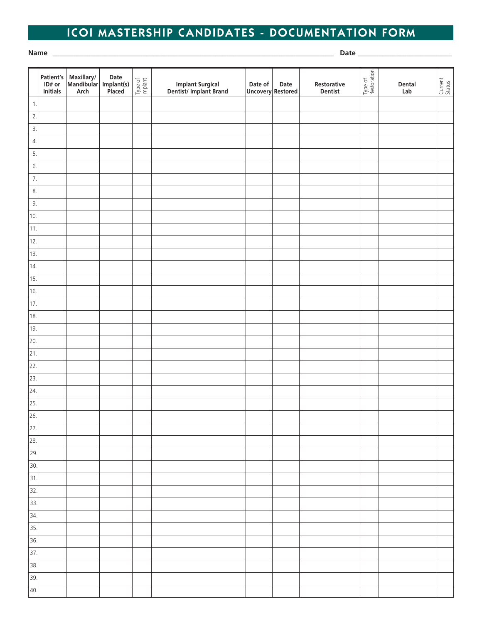# ICOI MASTERSHIP CANDIDATES - DOCUMENTATION FORM

**Name** \_\_\_\_\_\_\_\_\_\_\_\_\_\_\_\_\_\_\_\_\_\_\_\_\_\_\_\_\_\_\_\_\_\_\_\_\_\_\_\_\_\_\_\_\_\_\_\_\_\_\_\_\_\_\_\_\_\_\_\_\_\_\_\_\_\_\_\_\_\_\_\_\_\_\_\_\_\_\_\_\_ **Date** \_\_\_\_\_\_\_\_\_\_\_\_\_\_\_\_\_\_\_\_\_\_\_\_\_\_\_

|                              | Patient's<br>ID# or<br>Initials | $\begin{array}{ l } \hline \text{Maxillary/} \\ \hline \text{Mandibular} \end{array}$<br>Arch | Date<br>Implant(s)<br>Placed | Type of<br>Implant | Implant Surgical<br>Dentist/Implant Brand | Date of<br>Uncovery Restored | Date | Restorative<br>Dentist | Type of<br>Restoration | Dental<br>Lab | Current<br>Status |
|------------------------------|---------------------------------|-----------------------------------------------------------------------------------------------|------------------------------|--------------------|-------------------------------------------|------------------------------|------|------------------------|------------------------|---------------|-------------------|
| $\mathbf{1}$ .               |                                 |                                                                                               |                              |                    |                                           |                              |      |                        |                        |               |                   |
| $\overline{2}$ .             |                                 |                                                                                               |                              |                    |                                           |                              |      |                        |                        |               |                   |
| 3.                           |                                 |                                                                                               |                              |                    |                                           |                              |      |                        |                        |               |                   |
| $\overline{4}$ .             |                                 |                                                                                               |                              |                    |                                           |                              |      |                        |                        |               |                   |
| 5.                           |                                 |                                                                                               |                              |                    |                                           |                              |      |                        |                        |               |                   |
| 6.                           |                                 |                                                                                               |                              |                    |                                           |                              |      |                        |                        |               |                   |
| 7.                           |                                 |                                                                                               |                              |                    |                                           |                              |      |                        |                        |               |                   |
| 8.                           |                                 |                                                                                               |                              |                    |                                           |                              |      |                        |                        |               |                   |
| 9.                           |                                 |                                                                                               |                              |                    |                                           |                              |      |                        |                        |               |                   |
| 10.                          |                                 |                                                                                               |                              |                    |                                           |                              |      |                        |                        |               |                   |
| $ 11$ .                      |                                 |                                                                                               |                              |                    |                                           |                              |      |                        |                        |               |                   |
| 12.                          |                                 |                                                                                               |                              |                    |                                           |                              |      |                        |                        |               |                   |
| 13.                          |                                 |                                                                                               |                              |                    |                                           |                              |      |                        |                        |               |                   |
| 14.                          |                                 |                                                                                               |                              |                    |                                           |                              |      |                        |                        |               |                   |
| 15.                          |                                 |                                                                                               |                              |                    |                                           |                              |      |                        |                        |               |                   |
| 16.                          |                                 |                                                                                               |                              |                    |                                           |                              |      |                        |                        |               |                   |
| 17.                          |                                 |                                                                                               |                              |                    |                                           |                              |      |                        |                        |               |                   |
| 18.                          |                                 |                                                                                               |                              |                    |                                           |                              |      |                        |                        |               |                   |
| 19.                          |                                 |                                                                                               |                              |                    |                                           |                              |      |                        |                        |               |                   |
| 20.                          |                                 |                                                                                               |                              |                    |                                           |                              |      |                        |                        |               |                   |
| $\overline{21}$              |                                 |                                                                                               |                              |                    |                                           |                              |      |                        |                        |               |                   |
| 22                           |                                 |                                                                                               |                              |                    |                                           |                              |      |                        |                        |               |                   |
| 23.                          |                                 |                                                                                               |                              |                    |                                           |                              |      |                        |                        |               |                   |
| $\overline{24}$              |                                 |                                                                                               |                              |                    |                                           |                              |      |                        |                        |               |                   |
| $\overline{25}$              |                                 |                                                                                               |                              |                    |                                           |                              |      |                        |                        |               |                   |
| $\frac{1}{26}$               |                                 |                                                                                               |                              |                    |                                           |                              |      |                        |                        |               |                   |
| $\overline{27}$              |                                 |                                                                                               |                              |                    |                                           |                              |      |                        |                        |               |                   |
| $\overline{28}$ .            |                                 |                                                                                               |                              |                    |                                           |                              |      |                        |                        |               |                   |
| 29.                          |                                 |                                                                                               |                              |                    |                                           |                              |      |                        |                        |               |                   |
| 30.                          |                                 |                                                                                               |                              |                    |                                           |                              |      |                        |                        |               |                   |
| 31.                          |                                 |                                                                                               |                              |                    |                                           |                              |      |                        |                        |               |                   |
| $\overline{32}$              |                                 |                                                                                               |                              |                    |                                           |                              |      |                        |                        |               |                   |
| $\boxed{33}$                 |                                 |                                                                                               |                              |                    |                                           |                              |      |                        |                        |               |                   |
| 34.                          |                                 |                                                                                               |                              |                    |                                           |                              |      |                        |                        |               |                   |
| $\boxed{35}$                 |                                 |                                                                                               |                              |                    |                                           |                              |      |                        |                        |               |                   |
| $\overline{\phantom{0}}$ 36. |                                 |                                                                                               |                              |                    |                                           |                              |      |                        |                        |               |                   |
| 37.                          |                                 |                                                                                               |                              |                    |                                           |                              |      |                        |                        |               |                   |
| 38.                          |                                 |                                                                                               |                              |                    |                                           |                              |      |                        |                        |               |                   |
| 39.                          |                                 |                                                                                               |                              |                    |                                           |                              |      |                        |                        |               |                   |
| 40.                          |                                 |                                                                                               |                              |                    |                                           |                              |      |                        |                        |               |                   |